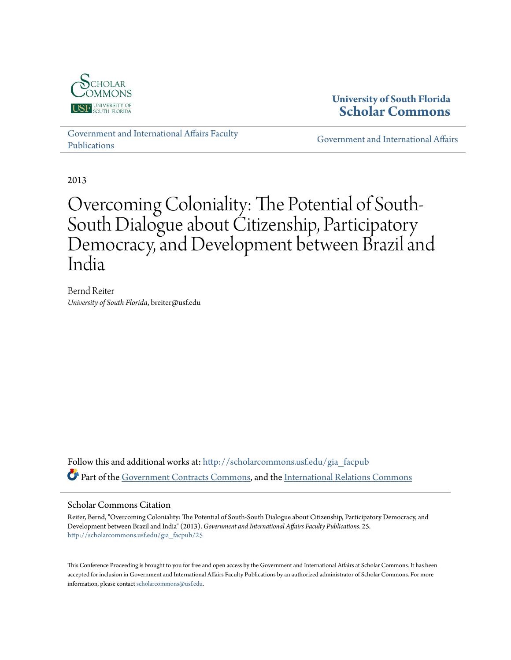

## **University of South Florida [Scholar Commons](http://scholarcommons.usf.edu?utm_source=scholarcommons.usf.edu%2Fgia_facpub%2F25&utm_medium=PDF&utm_campaign=PDFCoverPages)**

[Government and International Affairs Faculty](http://scholarcommons.usf.edu/gia_facpub?utm_source=scholarcommons.usf.edu%2Fgia_facpub%2F25&utm_medium=PDF&utm_campaign=PDFCoverPages) [Publications](http://scholarcommons.usf.edu/gia_facpub?utm_source=scholarcommons.usf.edu%2Fgia_facpub%2F25&utm_medium=PDF&utm_campaign=PDFCoverPages)

[Government and International Affairs](http://scholarcommons.usf.edu/gia?utm_source=scholarcommons.usf.edu%2Fgia_facpub%2F25&utm_medium=PDF&utm_campaign=PDFCoverPages)

2013

# Overcoming Coloniality: The Potential of South-South Dialogue about Citizenship, Participatory Democracy, and Development between Brazil and India

Bernd Reiter *University of South Florida*, breiter@usf.edu

Follow this and additional works at: [http://scholarcommons.usf.edu/gia\\_facpub](http://scholarcommons.usf.edu/gia_facpub?utm_source=scholarcommons.usf.edu%2Fgia_facpub%2F25&utm_medium=PDF&utm_campaign=PDFCoverPages) Part of the [Government Contracts Commons](http://network.bepress.com/hgg/discipline/845?utm_source=scholarcommons.usf.edu%2Fgia_facpub%2F25&utm_medium=PDF&utm_campaign=PDFCoverPages), and the [International Relations Commons](http://network.bepress.com/hgg/discipline/389?utm_source=scholarcommons.usf.edu%2Fgia_facpub%2F25&utm_medium=PDF&utm_campaign=PDFCoverPages)

#### Scholar Commons Citation

Reiter, Bernd, "Overcoming Coloniality: The Potential of South-South Dialogue about Citizenship, Participatory Democracy, and Development between Brazil and India" (2013). *Government and International Affairs Faculty Publications*. 25. [http://scholarcommons.usf.edu/gia\\_facpub/25](http://scholarcommons.usf.edu/gia_facpub/25?utm_source=scholarcommons.usf.edu%2Fgia_facpub%2F25&utm_medium=PDF&utm_campaign=PDFCoverPages)

This Conference Proceeding is brought to you for free and open access by the Government and International Affairs at Scholar Commons. It has been accepted for inclusion in Government and International Affairs Faculty Publications by an authorized administrator of Scholar Commons. For more information, please contact [scholarcommons@usf.edu.](mailto:scholarcommons@usf.edu)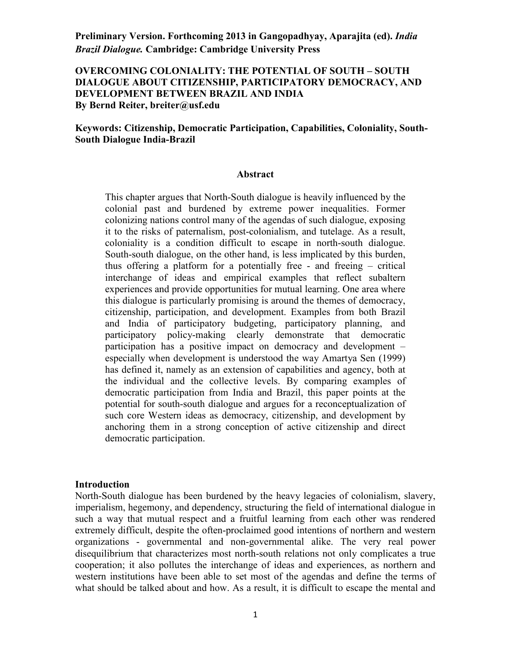## **OVERCOMING COLONIALITY: THE POTENTIAL OF SOUTH – SOUTH DIALOGUE ABOUT CITIZENSHIP, PARTICIPATORY DEMOCRACY, AND DEVELOPMENT BETWEEN BRAZIL AND INDIA By Bernd Reiter, breiter@usf.edu**

## **Keywords: Citizenship, Democratic Participation, Capabilities, Coloniality, South-South Dialogue India-Brazil**

#### **Abstract**

This chapter argues that North-South dialogue is heavily influenced by the colonial past and burdened by extreme power inequalities. Former colonizing nations control many of the agendas of such dialogue, exposing it to the risks of paternalism, post-colonialism, and tutelage. As a result, coloniality is a condition difficult to escape in north-south dialogue. South-south dialogue, on the other hand, is less implicated by this burden, thus offering a platform for a potentially free - and freeing – critical interchange of ideas and empirical examples that reflect subaltern experiences and provide opportunities for mutual learning. One area where this dialogue is particularly promising is around the themes of democracy, citizenship, participation, and development. Examples from both Brazil and India of participatory budgeting, participatory planning, and participatory policy-making clearly demonstrate that democratic participation has a positive impact on democracy and development – especially when development is understood the way Amartya Sen (1999) has defined it, namely as an extension of capabilities and agency, both at the individual and the collective levels. By comparing examples of democratic participation from India and Brazil, this paper points at the potential for south-south dialogue and argues for a reconceptualization of such core Western ideas as democracy, citizenship, and development by anchoring them in a strong conception of active citizenship and direct democratic participation.

#### **Introduction**

North-South dialogue has been burdened by the heavy legacies of colonialism, slavery, imperialism, hegemony, and dependency, structuring the field of international dialogue in such a way that mutual respect and a fruitful learning from each other was rendered extremely difficult, despite the often-proclaimed good intentions of northern and western organizations - governmental and non-governmental alike. The very real power disequilibrium that characterizes most north-south relations not only complicates a true cooperation; it also pollutes the interchange of ideas and experiences, as northern and western institutions have been able to set most of the agendas and define the terms of what should be talked about and how. As a result, it is difficult to escape the mental and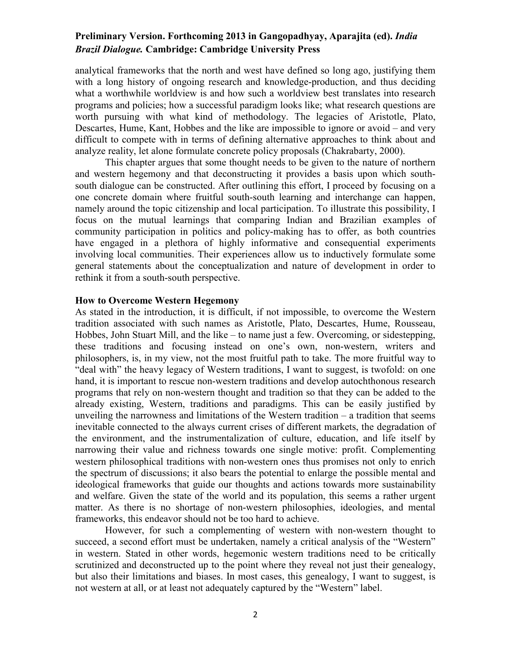analytical frameworks that the north and west have defined so long ago, justifying them with a long history of ongoing research and knowledge-production, and thus deciding what a worthwhile worldview is and how such a worldview best translates into research programs and policies; how a successful paradigm looks like; what research questions are worth pursuing with what kind of methodology. The legacies of Aristotle, Plato, Descartes, Hume, Kant, Hobbes and the like are impossible to ignore or avoid – and very difficult to compete with in terms of defining alternative approaches to think about and analyze reality, let alone formulate concrete policy proposals (Chakrabarty, 2000).

This chapter argues that some thought needs to be given to the nature of northern and western hegemony and that deconstructing it provides a basis upon which southsouth dialogue can be constructed. After outlining this effort, I proceed by focusing on a one concrete domain where fruitful south-south learning and interchange can happen, namely around the topic citizenship and local participation. To illustrate this possibility, I focus on the mutual learnings that comparing Indian and Brazilian examples of community participation in politics and policy-making has to offer, as both countries have engaged in a plethora of highly informative and consequential experiments involving local communities. Their experiences allow us to inductively formulate some general statements about the conceptualization and nature of development in order to rethink it from a south-south perspective.

#### **How to Overcome Western Hegemony**

As stated in the introduction, it is difficult, if not impossible, to overcome the Western tradition associated with such names as Aristotle, Plato, Descartes, Hume, Rousseau, Hobbes, John Stuart Mill, and the like – to name just a few. Overcoming, or sidestepping, these traditions and focusing instead on one's own, non-western, writers and philosophers, is, in my view, not the most fruitful path to take. The more fruitful way to "deal with" the heavy legacy of Western traditions, I want to suggest, is twofold: on one hand, it is important to rescue non-western traditions and develop autochthonous research programs that rely on non-western thought and tradition so that they can be added to the already existing, Western, traditions and paradigms. This can be easily justified by unveiling the narrowness and limitations of the Western tradition – a tradition that seems inevitable connected to the always current crises of different markets, the degradation of the environment, and the instrumentalization of culture, education, and life itself by narrowing their value and richness towards one single motive: profit. Complementing western philosophical traditions with non-western ones thus promises not only to enrich the spectrum of discussions; it also bears the potential to enlarge the possible mental and ideological frameworks that guide our thoughts and actions towards more sustainability and welfare. Given the state of the world and its population, this seems a rather urgent matter. As there is no shortage of non-western philosophies, ideologies, and mental frameworks, this endeavor should not be too hard to achieve.

However, for such a complementing of western with non-western thought to succeed, a second effort must be undertaken, namely a critical analysis of the "Western" in western. Stated in other words, hegemonic western traditions need to be critically scrutinized and deconstructed up to the point where they reveal not just their genealogy, but also their limitations and biases. In most cases, this genealogy, I want to suggest, is not western at all, or at least not adequately captured by the "Western" label.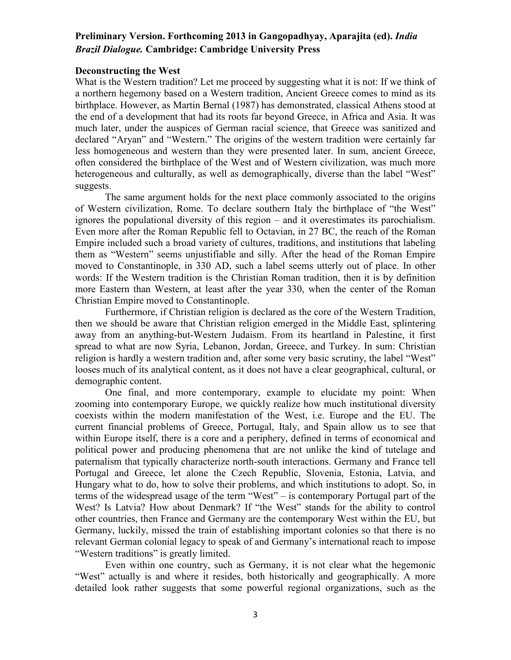#### **Deconstructing the West**

What is the Western tradition? Let me proceed by suggesting what it is not: If we think of a northern hegemony based on a Western tradition, Ancient Greece comes to mind as its birthplace. However, as Martin Bernal (1987) has demonstrated, classical Athens stood at the end of a development that had its roots far beyond Greece, in Africa and Asia. It was much later, under the auspices of German racial science, that Greece was sanitized and declared "Aryan" and "Western." The origins of the western tradition were certainly far less homogeneous and western than they were presented later. In sum, ancient Greece, often considered the birthplace of the West and of Western civilization, was much more heterogeneous and culturally, as well as demographically, diverse than the label "West" suggests.

 The same argument holds for the next place commonly associated to the origins of Western civilization, Rome. To declare southern Italy the birthplace of "the West" ignores the populational diversity of this region – and it overestimates its parochialism. Even more after the Roman Republic fell to Octavian, in 27 BC, the reach of the Roman Empire included such a broad variety of cultures, traditions, and institutions that labeling them as "Western" seems unjustifiable and silly. After the head of the Roman Empire moved to Constantinople, in 330 AD, such a label seems utterly out of place. In other words: If the Western tradition is the Christian Roman tradition, then it is by definition more Eastern than Western, at least after the year 330, when the center of the Roman Christian Empire moved to Constantinople.

 Furthermore, if Christian religion is declared as the core of the Western Tradition, then we should be aware that Christian religion emerged in the Middle East, splintering away from an anything-but-Western Judaism. From its heartland in Palestine, it first spread to what are now Syria, Lebanon, Jordan, Greece, and Turkey. In sum: Christian religion is hardly a western tradition and, after some very basic scrutiny, the label "West" looses much of its analytical content, as it does not have a clear geographical, cultural, or demographic content.

 One final, and more contemporary, example to elucidate my point: When zooming into contemporary Europe, we quickly realize how much institutional diversity coexists within the modern manifestation of the West, i.e. Europe and the EU. The current financial problems of Greece, Portugal, Italy, and Spain allow us to see that within Europe itself, there is a core and a periphery, defined in terms of economical and political power and producing phenomena that are not unlike the kind of tutelage and paternalism that typically characterize north-south interactions. Germany and France tell Portugal and Greece, let alone the Czech Republic, Slovenia, Estonia, Latvia, and Hungary what to do, how to solve their problems, and which institutions to adopt. So, in terms of the widespread usage of the term "West" – is contemporary Portugal part of the West? Is Latvia? How about Denmark? If "the West" stands for the ability to control other countries, then France and Germany are the contemporary West within the EU, but Germany, luckily, missed the train of establishing important colonies so that there is no relevant German colonial legacy to speak of and Germany's international reach to impose "Western traditions" is greatly limited.

 Even within one country, such as Germany, it is not clear what the hegemonic "West" actually is and where it resides, both historically and geographically. A more detailed look rather suggests that some powerful regional organizations, such as the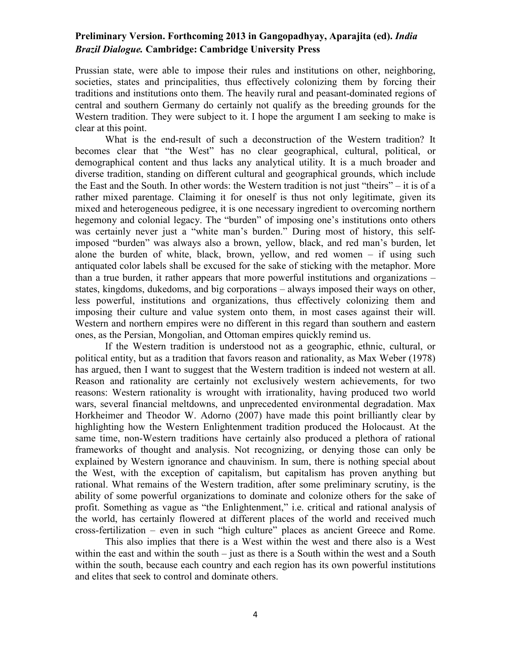Prussian state, were able to impose their rules and institutions on other, neighboring, societies, states and principalities, thus effectively colonizing them by forcing their traditions and institutions onto them. The heavily rural and peasant-dominated regions of central and southern Germany do certainly not qualify as the breeding grounds for the Western tradition. They were subject to it. I hope the argument I am seeking to make is clear at this point.

 What is the end-result of such a deconstruction of the Western tradition? It becomes clear that "the West" has no clear geographical, cultural, political, or demographical content and thus lacks any analytical utility. It is a much broader and diverse tradition, standing on different cultural and geographical grounds, which include the East and the South. In other words: the Western tradition is not just "theirs" – it is of a rather mixed parentage. Claiming it for oneself is thus not only legitimate, given its mixed and heterogeneous pedigree, it is one necessary ingredient to overcoming northern hegemony and colonial legacy. The "burden" of imposing one's institutions onto others was certainly never just a "white man's burden." During most of history, this selfimposed "burden" was always also a brown, yellow, black, and red man's burden, let alone the burden of white, black, brown, yellow, and red women – if using such antiquated color labels shall be excused for the sake of sticking with the metaphor. More than a true burden, it rather appears that more powerful institutions and organizations – states, kingdoms, dukedoms, and big corporations – always imposed their ways on other, less powerful, institutions and organizations, thus effectively colonizing them and imposing their culture and value system onto them, in most cases against their will. Western and northern empires were no different in this regard than southern and eastern ones, as the Persian, Mongolian, and Ottoman empires quickly remind us.

 If the Western tradition is understood not as a geographic, ethnic, cultural, or political entity, but as a tradition that favors reason and rationality, as Max Weber (1978) has argued, then I want to suggest that the Western tradition is indeed not western at all. Reason and rationality are certainly not exclusively western achievements, for two reasons: Western rationality is wrought with irrationality, having produced two world wars, several financial meltdowns, and unprecedented environmental degradation. Max Horkheimer and Theodor W. Adorno (2007) have made this point brilliantly clear by highlighting how the Western Enlightenment tradition produced the Holocaust. At the same time, non-Western traditions have certainly also produced a plethora of rational frameworks of thought and analysis. Not recognizing, or denying those can only be explained by Western ignorance and chauvinism. In sum, there is nothing special about the West, with the exception of capitalism, but capitalism has proven anything but rational. What remains of the Western tradition, after some preliminary scrutiny, is the ability of some powerful organizations to dominate and colonize others for the sake of profit. Something as vague as "the Enlightenment," i.e. critical and rational analysis of the world, has certainly flowered at different places of the world and received much cross-fertilization – even in such "high culture" places as ancient Greece and Rome.

 This also implies that there is a West within the west and there also is a West within the east and within the south – just as there is a South within the west and a South within the south, because each country and each region has its own powerful institutions and elites that seek to control and dominate others.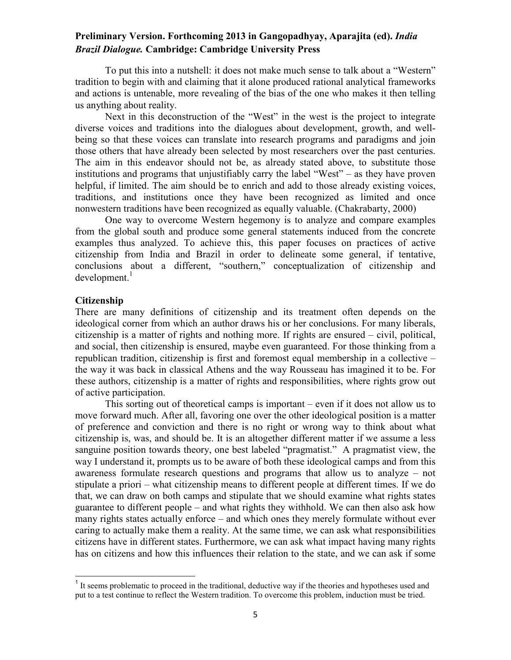To put this into a nutshell: it does not make much sense to talk about a "Western" tradition to begin with and claiming that it alone produced rational analytical frameworks and actions is untenable, more revealing of the bias of the one who makes it then telling us anything about reality.

 Next in this deconstruction of the "West" in the west is the project to integrate diverse voices and traditions into the dialogues about development, growth, and wellbeing so that these voices can translate into research programs and paradigms and join those others that have already been selected by most researchers over the past centuries. The aim in this endeavor should not be, as already stated above, to substitute those institutions and programs that unjustifiably carry the label "West" – as they have proven helpful, if limited. The aim should be to enrich and add to those already existing voices, traditions, and institutions once they have been recognized as limited and once nonwestern traditions have been recognized as equally valuable. (Chakrabarty, 2000)

One way to overcome Western hegemony is to analyze and compare examples from the global south and produce some general statements induced from the concrete examples thus analyzed. To achieve this, this paper focuses on practices of active citizenship from India and Brazil in order to delineate some general, if tentative, conclusions about a different, "southern," conceptualization of citizenship and development.<sup>1</sup>

#### **Citizenship**

l

There are many definitions of citizenship and its treatment often depends on the ideological corner from which an author draws his or her conclusions. For many liberals, citizenship is a matter of rights and nothing more. If rights are ensured – civil, political, and social, then citizenship is ensured, maybe even guaranteed. For those thinking from a republican tradition, citizenship is first and foremost equal membership in a collective – the way it was back in classical Athens and the way Rousseau has imagined it to be. For these authors, citizenship is a matter of rights and responsibilities, where rights grow out of active participation.

This sorting out of theoretical camps is important – even if it does not allow us to move forward much. After all, favoring one over the other ideological position is a matter of preference and conviction and there is no right or wrong way to think about what citizenship is, was, and should be. It is an altogether different matter if we assume a less sanguine position towards theory, one best labeled "pragmatist." A pragmatist view, the way I understand it, prompts us to be aware of both these ideological camps and from this awareness formulate research questions and programs that allow us to analyze – not stipulate a priori – what citizenship means to different people at different times. If we do that, we can draw on both camps and stipulate that we should examine what rights states guarantee to different people – and what rights they withhold. We can then also ask how many rights states actually enforce – and which ones they merely formulate without ever caring to actually make them a reality. At the same time, we can ask what responsibilities citizens have in different states. Furthermore, we can ask what impact having many rights has on citizens and how this influences their relation to the state, and we can ask if some

<sup>&</sup>lt;sup>1</sup> It seems problematic to proceed in the traditional, deductive way if the theories and hypotheses used and put to a test continue to reflect the Western tradition. To overcome this problem, induction must be tried.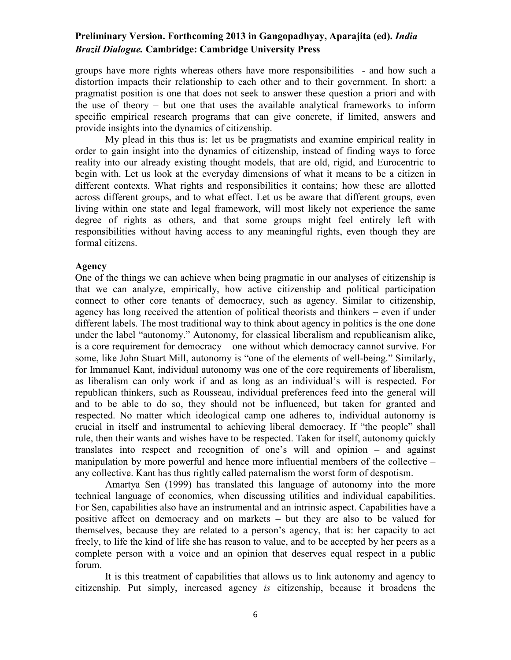groups have more rights whereas others have more responsibilities - and how such a distortion impacts their relationship to each other and to their government. In short: a pragmatist position is one that does not seek to answer these question a priori and with the use of theory – but one that uses the available analytical frameworks to inform specific empirical research programs that can give concrete, if limited, answers and provide insights into the dynamics of citizenship.

My plead in this thus is: let us be pragmatists and examine empirical reality in order to gain insight into the dynamics of citizenship, instead of finding ways to force reality into our already existing thought models, that are old, rigid, and Eurocentric to begin with. Let us look at the everyday dimensions of what it means to be a citizen in different contexts. What rights and responsibilities it contains; how these are allotted across different groups, and to what effect. Let us be aware that different groups, even living within one state and legal framework, will most likely not experience the same degree of rights as others, and that some groups might feel entirely left with responsibilities without having access to any meaningful rights, even though they are formal citizens.

#### **Agency**

One of the things we can achieve when being pragmatic in our analyses of citizenship is that we can analyze, empirically, how active citizenship and political participation connect to other core tenants of democracy, such as agency. Similar to citizenship, agency has long received the attention of political theorists and thinkers – even if under different labels. The most traditional way to think about agency in politics is the one done under the label "autonomy." Autonomy, for classical liberalism and republicanism alike, is a core requirement for democracy – one without which democracy cannot survive. For some, like John Stuart Mill, autonomy is "one of the elements of well-being." Similarly, for Immanuel Kant, individual autonomy was one of the core requirements of liberalism, as liberalism can only work if and as long as an individual's will is respected. For republican thinkers, such as Rousseau, individual preferences feed into the general will and to be able to do so, they should not be influenced, but taken for granted and respected. No matter which ideological camp one adheres to, individual autonomy is crucial in itself and instrumental to achieving liberal democracy. If "the people" shall rule, then their wants and wishes have to be respected. Taken for itself, autonomy quickly translates into respect and recognition of one's will and opinion – and against manipulation by more powerful and hence more influential members of the collective – any collective. Kant has thus rightly called paternalism the worst form of despotism.

 Amartya Sen (1999) has translated this language of autonomy into the more technical language of economics, when discussing utilities and individual capabilities. For Sen, capabilities also have an instrumental and an intrinsic aspect. Capabilities have a positive affect on democracy and on markets – but they are also to be valued for themselves, because they are related to a person's agency, that is: her capacity to act freely, to life the kind of life she has reason to value, and to be accepted by her peers as a complete person with a voice and an opinion that deserves equal respect in a public forum.

 It is this treatment of capabilities that allows us to link autonomy and agency to citizenship. Put simply, increased agency *is* citizenship, because it broadens the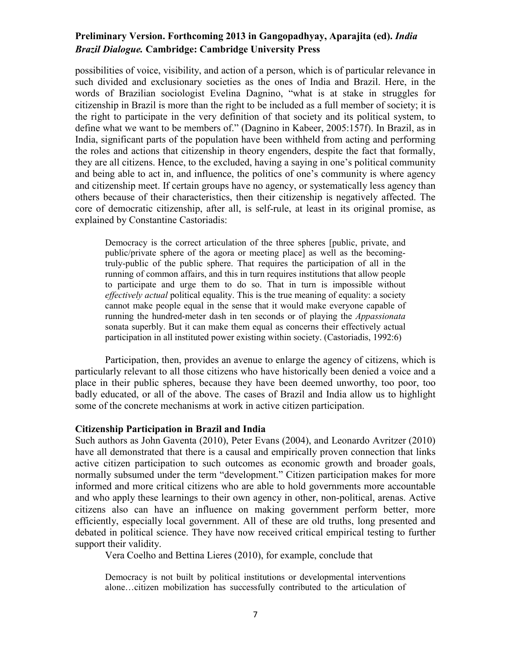possibilities of voice, visibility, and action of a person, which is of particular relevance in such divided and exclusionary societies as the ones of India and Brazil. Here, in the words of Brazilian sociologist Evelina Dagnino, "what is at stake in struggles for citizenship in Brazil is more than the right to be included as a full member of society; it is the right to participate in the very definition of that society and its political system, to define what we want to be members of." (Dagnino in Kabeer, 2005:157f). In Brazil, as in India, significant parts of the population have been withheld from acting and performing the roles and actions that citizenship in theory engenders, despite the fact that formally, they are all citizens. Hence, to the excluded, having a saying in one's political community and being able to act in, and influence, the politics of one's community is where agency and citizenship meet. If certain groups have no agency, or systematically less agency than others because of their characteristics, then their citizenship is negatively affected. The core of democratic citizenship, after all, is self-rule, at least in its original promise, as explained by Constantine Castoriadis:

Democracy is the correct articulation of the three spheres [public, private, and public/private sphere of the agora or meeting place] as well as the becomingtruly-public of the public sphere. That requires the participation of all in the running of common affairs, and this in turn requires institutions that allow people to participate and urge them to do so. That in turn is impossible without *effectively actual* political equality. This is the true meaning of equality: a society cannot make people equal in the sense that it would make everyone capable of running the hundred-meter dash in ten seconds or of playing the *Appassionata*  sonata superbly. But it can make them equal as concerns their effectively actual participation in all instituted power existing within society. (Castoriadis, 1992:6)

Participation, then, provides an avenue to enlarge the agency of citizens, which is particularly relevant to all those citizens who have historically been denied a voice and a place in their public spheres, because they have been deemed unworthy, too poor, too badly educated, or all of the above. The cases of Brazil and India allow us to highlight some of the concrete mechanisms at work in active citizen participation.

#### **Citizenship Participation in Brazil and India**

Such authors as John Gaventa (2010), Peter Evans (2004), and Leonardo Avritzer (2010) have all demonstrated that there is a causal and empirically proven connection that links active citizen participation to such outcomes as economic growth and broader goals, normally subsumed under the term "development." Citizen participation makes for more informed and more critical citizens who are able to hold governments more accountable and who apply these learnings to their own agency in other, non-political, arenas. Active citizens also can have an influence on making government perform better, more efficiently, especially local government. All of these are old truths, long presented and debated in political science. They have now received critical empirical testing to further support their validity.

Vera Coelho and Bettina Lieres (2010), for example, conclude that

Democracy is not built by political institutions or developmental interventions alone…citizen mobilization has successfully contributed to the articulation of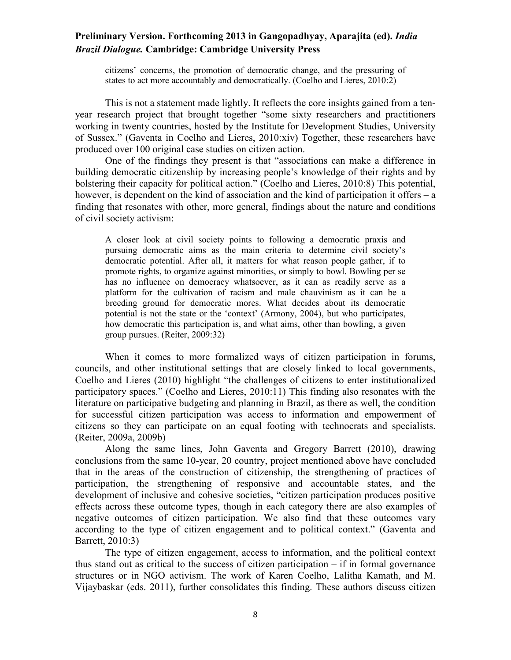citizens' concerns, the promotion of democratic change, and the pressuring of states to act more accountably and democratically. (Coelho and Lieres, 2010:2)

 This is not a statement made lightly. It reflects the core insights gained from a tenyear research project that brought together "some sixty researchers and practitioners working in twenty countries, hosted by the Institute for Development Studies, University of Sussex." (Gaventa in Coelho and Lieres, 2010:xiv) Together, these researchers have produced over 100 original case studies on citizen action.

 One of the findings they present is that "associations can make a difference in building democratic citizenship by increasing people's knowledge of their rights and by bolstering their capacity for political action." (Coelho and Lieres, 2010:8) This potential, however, is dependent on the kind of association and the kind of participation it offers – a finding that resonates with other, more general, findings about the nature and conditions of civil society activism:

A closer look at civil society points to following a democratic praxis and pursuing democratic aims as the main criteria to determine civil society's democratic potential. After all, it matters for what reason people gather, if to promote rights, to organize against minorities, or simply to bowl. Bowling per se has no influence on democracy whatsoever, as it can as readily serve as a platform for the cultivation of racism and male chauvinism as it can be a breeding ground for democratic mores. What decides about its democratic potential is not the state or the 'context' (Armony, 2004), but who participates, how democratic this participation is, and what aims, other than bowling, a given group pursues. (Reiter, 2009:32)

When it comes to more formalized ways of citizen participation in forums, councils, and other institutional settings that are closely linked to local governments, Coelho and Lieres (2010) highlight "the challenges of citizens to enter institutionalized participatory spaces." (Coelho and Lieres, 2010:11) This finding also resonates with the literature on participative budgeting and planning in Brazil, as there as well, the condition for successful citizen participation was access to information and empowerment of citizens so they can participate on an equal footing with technocrats and specialists. (Reiter, 2009a, 2009b)

Along the same lines, John Gaventa and Gregory Barrett (2010), drawing conclusions from the same 10-year, 20 country, project mentioned above have concluded that in the areas of the construction of citizenship, the strengthening of practices of participation, the strengthening of responsive and accountable states, and the development of inclusive and cohesive societies, "citizen participation produces positive effects across these outcome types, though in each category there are also examples of negative outcomes of citizen participation. We also find that these outcomes vary according to the type of citizen engagement and to political context." (Gaventa and Barrett, 2010:3)

The type of citizen engagement, access to information, and the political context thus stand out as critical to the success of citizen participation – if in formal governance structures or in NGO activism. The work of Karen Coelho, Lalitha Kamath, and M. Vijaybaskar (eds. 2011), further consolidates this finding. These authors discuss citizen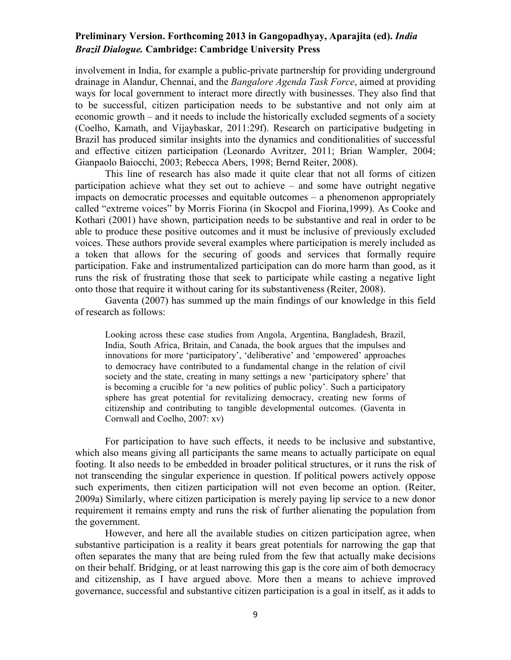involvement in India, for example a public-private partnership for providing underground drainage in Alandur, Chennai, and the *Bangalore Agenda Task Force*, aimed at providing ways for local government to interact more directly with businesses. They also find that to be successful, citizen participation needs to be substantive and not only aim at economic growth – and it needs to include the historically excluded segments of a society (Coelho, Kamath, and Vijaybaskar, 2011:29f). Research on participative budgeting in Brazil has produced similar insights into the dynamics and conditionalities of successful and effective citizen participation (Leonardo Avritzer, 2011; Brian Wampler, 2004; Gianpaolo Baiocchi, 2003; Rebecca Abers, 1998; Bernd Reiter, 2008).

This line of research has also made it quite clear that not all forms of citizen participation achieve what they set out to achieve – and some have outright negative impacts on democratic processes and equitable outcomes – a phenomenon appropriately called "extreme voices" by Morris Fiorina (in Skocpol and Fiorina,1999). As Cooke and Kothari (2001) have shown, participation needs to be substantive and real in order to be able to produce these positive outcomes and it must be inclusive of previously excluded voices. These authors provide several examples where participation is merely included as a token that allows for the securing of goods and services that formally require participation. Fake and instrumentalized participation can do more harm than good, as it runs the risk of frustrating those that seek to participate while casting a negative light onto those that require it without caring for its substantiveness (Reiter, 2008).

Gaventa (2007) has summed up the main findings of our knowledge in this field of research as follows:

Looking across these case studies from Angola, Argentina, Bangladesh, Brazil, India, South Africa, Britain, and Canada, the book argues that the impulses and innovations for more 'participatory', 'deliberative' and 'empowered' approaches to democracy have contributed to a fundamental change in the relation of civil society and the state, creating in many settings a new 'participatory sphere' that is becoming a crucible for 'a new politics of public policy'. Such a participatory sphere has great potential for revitalizing democracy, creating new forms of citizenship and contributing to tangible developmental outcomes. (Gaventa in Cornwall and Coelho, 2007: xv)

For participation to have such effects, it needs to be inclusive and substantive, which also means giving all participants the same means to actually participate on equal footing. It also needs to be embedded in broader political structures, or it runs the risk of not transcending the singular experience in question. If political powers actively oppose such experiments, then citizen participation will not even become an option. (Reiter, 2009a) Similarly, where citizen participation is merely paying lip service to a new donor requirement it remains empty and runs the risk of further alienating the population from the government.

 However, and here all the available studies on citizen participation agree, when substantive participation is a reality it bears great potentials for narrowing the gap that often separates the many that are being ruled from the few that actually make decisions on their behalf. Bridging, or at least narrowing this gap is the core aim of both democracy and citizenship, as I have argued above. More then a means to achieve improved governance, successful and substantive citizen participation is a goal in itself, as it adds to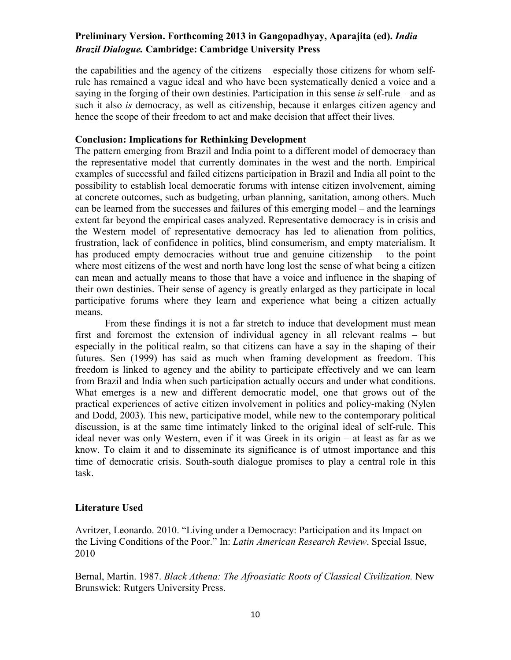the capabilities and the agency of the citizens – especially those citizens for whom selfrule has remained a vague ideal and who have been systematically denied a voice and a saying in the forging of their own destinies. Participation in this sense *is* self-rule – and as such it also *is* democracy, as well as citizenship, because it enlarges citizen agency and hence the scope of their freedom to act and make decision that affect their lives.

#### **Conclusion: Implications for Rethinking Development**

The pattern emerging from Brazil and India point to a different model of democracy than the representative model that currently dominates in the west and the north. Empirical examples of successful and failed citizens participation in Brazil and India all point to the possibility to establish local democratic forums with intense citizen involvement, aiming at concrete outcomes, such as budgeting, urban planning, sanitation, among others. Much can be learned from the successes and failures of this emerging model – and the learnings extent far beyond the empirical cases analyzed. Representative democracy is in crisis and the Western model of representative democracy has led to alienation from politics, frustration, lack of confidence in politics, blind consumerism, and empty materialism. It has produced empty democracies without true and genuine citizenship – to the point where most citizens of the west and north have long lost the sense of what being a citizen can mean and actually means to those that have a voice and influence in the shaping of their own destinies. Their sense of agency is greatly enlarged as they participate in local participative forums where they learn and experience what being a citizen actually means.

 From these findings it is not a far stretch to induce that development must mean first and foremost the extension of individual agency in all relevant realms – but especially in the political realm, so that citizens can have a say in the shaping of their futures. Sen (1999) has said as much when framing development as freedom. This freedom is linked to agency and the ability to participate effectively and we can learn from Brazil and India when such participation actually occurs and under what conditions. What emerges is a new and different democratic model, one that grows out of the practical experiences of active citizen involvement in politics and policy-making (Nylen and Dodd, 2003). This new, participative model, while new to the contemporary political discussion, is at the same time intimately linked to the original ideal of self-rule. This ideal never was only Western, even if it was Greek in its origin – at least as far as we know. To claim it and to disseminate its significance is of utmost importance and this time of democratic crisis. South-south dialogue promises to play a central role in this task.

## **Literature Used**

Avritzer, Leonardo. 2010. "Living under a Democracy: Participation and its Impact on the Living Conditions of the Poor." In: *Latin American Research Review*. Special Issue, 2010

Bernal, Martin. 1987. *Black Athena: The Afroasiatic Roots of Classical Civilization.* New Brunswick: Rutgers University Press.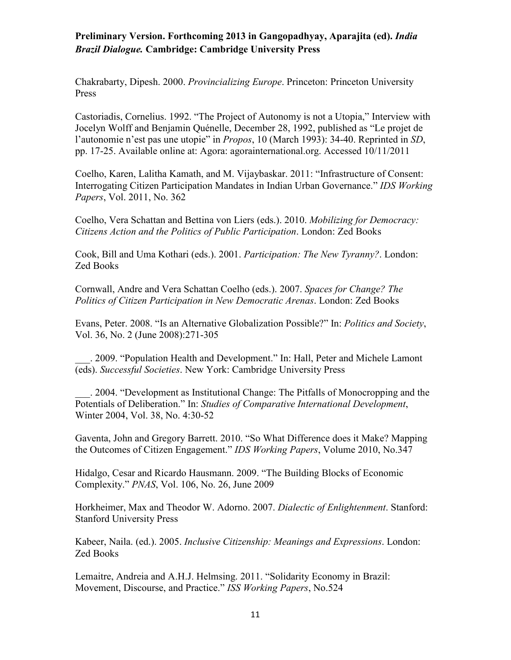Chakrabarty, Dipesh. 2000. *Provincializing Europe*. Princeton: Princeton University Press

Castoriadis, Cornelius. 1992. "The Project of Autonomy is not a Utopia," Interview with Jocelyn Wolff and Benjamin Quénelle, December 28, 1992, published as "Le projet de l'autonomie n'est pas une utopie" in *Propos*, 10 (March 1993): 34-40. Reprinted in *SD*, pp. 17-25. Available online at: Agora: agorainternational.org. Accessed 10/11/2011

Coelho, Karen, Lalitha Kamath, and M. Vijaybaskar. 2011: "Infrastructure of Consent: Interrogating Citizen Participation Mandates in Indian Urban Governance." *IDS Working Papers*, Vol. 2011, No. 362

Coelho, Vera Schattan and Bettina von Liers (eds.). 2010. *Mobilizing for Democracy: Citizens Action and the Politics of Public Participation*. London: Zed Books

Cook, Bill and Uma Kothari (eds.). 2001. *Participation: The New Tyranny?*. London: Zed Books

Cornwall, Andre and Vera Schattan Coelho (eds.). 2007. *Spaces for Change? The Politics of Citizen Participation in New Democratic Arenas*. London: Zed Books

Evans, Peter. 2008. "Is an Alternative Globalization Possible?" In: *Politics and Society*, Vol. 36, No. 2 (June 2008):271-305

\_\_\_. 2009. "Population Health and Development." In: Hall, Peter and Michele Lamont (eds). *Successful Societies*. New York: Cambridge University Press

\_\_\_. 2004. "Development as Institutional Change: The Pitfalls of Monocropping and the Potentials of Deliberation." In: *Studies of Comparative International Development*, Winter 2004, Vol. 38, No. 4:30-52

Gaventa, John and Gregory Barrett. 2010. "So What Difference does it Make? Mapping the Outcomes of Citizen Engagement." *IDS Working Papers*, Volume 2010, No.347

Hidalgo, Cesar and Ricardo Hausmann. 2009. "The Building Blocks of Economic Complexity." *PNAS*, Vol. 106, No. 26, June 2009

Horkheimer, Max and Theodor W. Adorno. 2007. *Dialectic of Enlightenment*. Stanford: Stanford University Press

Kabeer, Naila. (ed.). 2005. *Inclusive Citizenship: Meanings and Expressions*. London: Zed Books

Lemaitre, Andreia and A.H.J. Helmsing. 2011. "Solidarity Economy in Brazil: Movement, Discourse, and Practice." *ISS Working Papers*, No.524